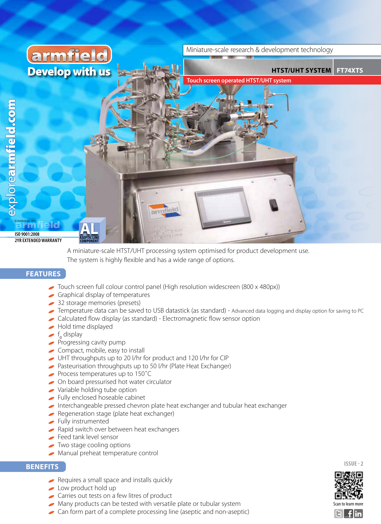

 A miniature-scale HTST/UHT processing system optimised for product development use. The system is highly flexible and has a wide range of options.

### **FEATURES**

- Touch screen full colour control panel (High resolution widescreen (800 x 480px))
- Graphical display of temperatures
- 32 storage memories (presets)
- Temperature data can be saved to USB datastick (as standard) Advanced data logging and display option for saving to PC
- Calculated flow display (as standard) Electromagnetic flow sensor option
- Hold time displayed
- f<sub>o</sub> display
- Progressing cavity pump
- Compact, mobile, easy to install
- UHT throughputs up to 20 l/hr for product and 120 l/hr for CIP
- Pasteurisation throughputs up to 50 l/hr (Plate Heat Exchanger)
- Process temperatures up to 150˚C
- On board pressurised hot water circulator
- Variable holding tube option
- Fully enclosed hoseable cabinet
- Interchangeable pressed chevron plate heat exchanger and tubular heat exchanger
- Regeneration stage (plate heat exchanger)
- Fully instrumented
- Rapid switch over between heat exchangers
- Feed tank level sensor
- Two stage cooling options
- Manual preheat temperature control

### **BENEFITS**

- Requires a small space and installs quickly
- Low product hold up
- Carries out tests on a few litres of product
- Many products can be tested with versatile plate or tubular system
- Can form part of a complete processing line (aseptic and non-aseptic)



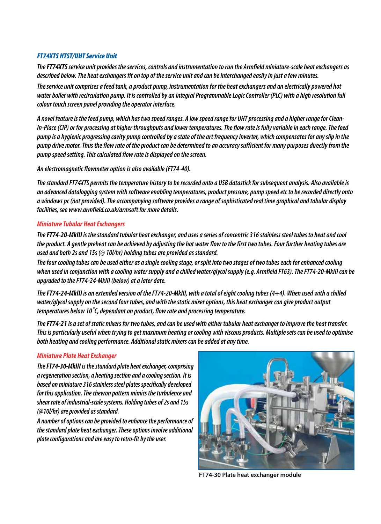### *FT74XTS HTST/UHT Service Unit*

*The FT74XTS service unit provides the services, controls and instrumentation to run the Armfield miniature-scale heat exchangers as described below. The heat exchangers fit on top of the service unit and can be interchanged easily in just a few minutes.*

*The service unit comprises a feed tank, a product pump, instrumentation for the heat exchangers and an electrically powered hot water boiler with recirculation pump. It is controlled by an integral Programmable Logic Controller (PLC) with a high resolution full colour touch screen panel providing the operator interface.*

*A novel feature is the feed pump, which has two speed ranges. A low speed range for UHT processing and a higher range for Clean-In-Place (CIP) or for processing at higher throughputs and lower temperatures. The flow rate is fully variable in each range. The feed pump is a hygienic progressing cavity pump controlled by a state of the art frequency inverter, which compensates for any slip in the pump drive motor. Thus the flow rate of the product can be determined to an accuracy sufficient for many purposes directly from the pump speed setting. This calculated flow rate is displayed on the screen.*

*An electromagnetic flowmeter option is also available (FT74-40).*

*The standard FT74XTS permits the temperature history to be recorded onto a USB datastick for subsequent analysis. Also available is an advanced datalogging system with software enabling temperatures, product pressure, pump speed etc to be recorded directly onto a windows pc (not provided). The accompanying software provides a range of sophisticated real time graphical and tabular display facilities, see www.armfield.co.uk/armsoft for more details.*

### *Miniature Tubular Heat Exchangers*

*The FT74-20-MkIII is the standard tubular heat exchanger, and uses a series of concentric 316 stainless steel tubes to heat and cool the product. A gentle preheat can be achieved by adjusting the hot water flow to the first two tubes. Four further heating tubes are used and both 2s and 15s (@ 10l/hr) holding tubes are provided as standard.*

*The four cooling tubes can be used either as a single cooling stage, or split into two stages of two tubes each for enhanced cooling when used in conjunction with a cooling water supply and a chilled water/glycol supply (e.g. Armfield FT63). The FT74-20-MkIII can be upgraded to the FT74-24-MkIII (below) at a later date.*

*The FT74-24-MkIII is an extended version of the FT74-20-MkIII, with a total of eight cooling tubes (4+4). When used with a chilled water/glycol supply on the second four tubes, and with the static mixer options, this heat exchanger can give product output temperatures below 10˚C, dependant on product, flow rate and processing temperature.*

*The FT74-21 is a set of static mixers for two tubes, and can be used with either tubular heat exchanger to improve the heat transfer. This is particularly useful when trying to get maximum heating or cooling with viscous products. Multiple sets can be used to optimise both heating and cooling performance. Additional static mixers can be added at any time.*

### *Miniature Plate Heat Exchanger*

*The FT74-30-MkIII is the standard plate heat exchanger, comprising a regeneration section, a heating section and a cooling section. It is based on miniature 316 stainless steel plates specifically developed for this application. The chevron pattern mimics the turbulence and shear rate of industrial-scale systems. Holding tubes of 2s and 15s (@10l/hr) are provided as standard.*

*A number of options can be provided to enhance the performance of the standard plate heat exchanger. These options involve additional plate configurations and are easy to retro-fit by the user.*



**FT74-30 Plate heat exchanger module**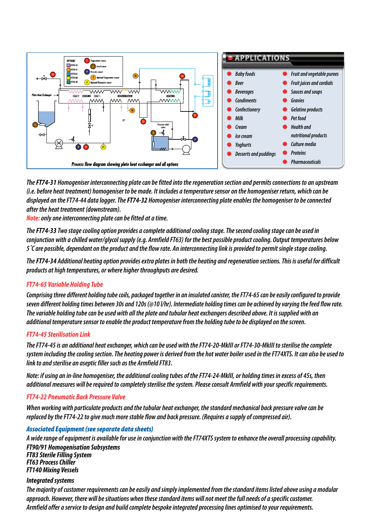

*The FT74-31 Homogeniser interconnecting plate can be fitted into the regeneration section and permits connections to an upstream (i.e. before heat treatment) homogeniser to be made. It includes a temperature sensor on the homogeniser return, which can be displayed on the FT74-44 data logger. The FT74-32 Homogeniser interconnecting plate enables the homogeniser to be connected after the heat treatment (downstream).*

*Note: only one interconnecting plate can be fitted at a time.*

*The FT74-33 Two stage cooling option provides a complete additional cooling stage. The second cooling stage can be used in conjunction with a chilled water/glycol supply (e.g. Armfield FT63) for the best possible product cooling. Output temperatures below 5˚C are possible, dependant on the product and the flow rate. An interconnecting link is provided to permit single stage cooling.*

*The FT74-34 Additional heating option provides extra plates in both the heating and regeneration sections. This is useful for difficult products at high temperatures, or where higher throughputs are desired.*

### *FT74-65 Variable Holding Tube*

*Comprising three different holding tube coils, packaged together in an insulated canister, the FT74-65 can be easily configured to provide seven different holding times between 30s and 120s (@10 l/hr). Intermediate holding times can be achieved by varying the feed flow rate. The variable holding tube can be used with all the plate and tubular heat exchangers described above. It is supplied with an additional temperature sensor to enable the product temperature from the holding tube to be displayed on the screen.*

### *FT74-45 Sterilisation Link*

*The FT74-45 is an additional heat exchanger, which can be used with the FT74-20-MkIII or FT74-30-MkIII to sterilise the complete system including the cooling section. The heating power is derived from the hot water boiler used in the FT74XTS. It can also be used to link to and sterilise an aseptic filler such as the Armfield FT83.*

*Note: if using an in-line homogeniser, the additional cooling tubes of the FT74-24-MkIII, or holding times in excess of 45s, then additional measures will be required to completely sterilise the system. Please consult Armfield with your specific requirements.*

#### *FT74-22 Pneumatic Back Pressure Valve*

*When working with particulate products and the tubular heat exchanger, the standard mechanical back pressure valve can be replaced by the FT74-22 to give much more stable flow and back pressure. (Requires a supply of compressed air).*

### *Associated Equipment (see separate data sheets)*

*A wide range of equipment is available for use in conjunction with the FT74XTS system to enhance the overall processing capability. FT90/91 Homogenisation Subsystems FT83 Sterile Filling System FT63 Process Chiller FT140 Mixing Vessels*

### *Integrated systems*

*The majority of customer requirements can be easily and simply implemented from the standard items listed above using a modular approach. However, there will be situations when these standard items will not meet the full needs of a specific customer. Armfield offer a service to design and build complete bespoke integrated processing lines optimised to your requirements.*